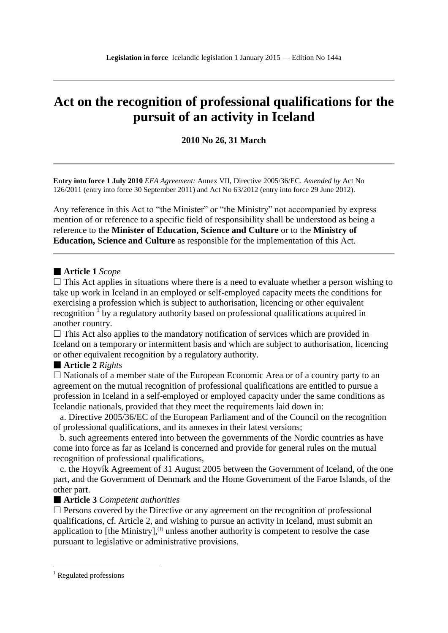# **Act on the recognition of professional qualifications for the pursuit of an activity in Iceland**

**2010 No 26, 31 March**

**Entry into force 1 July 2010** *EEA Agreement:* Annex VII, Directive 2005/36/EC. *Amended by* Act No 126/2011 (entry into force 30 September 2011) and Act No 63/2012 (entry into force 29 June 2012).

Any reference in this Act to "the Minister" or "the Ministry" not accompanied by express mention of or reference to a specific field of responsibility shall be understood as being a reference to the **Minister of Education, Science and Culture** or to the **Ministry of Education, Science and Culture** as responsible for the implementation of this Act.

## **Article 1** *Scope*

 $\Box$  This Act applies in situations where there is a need to evaluate whether a person wishing to take up work in Iceland in an employed or self-employed capacity meets the conditions for exercising a profession which is subject to authorisation, licencing or other equivalent recognition <sup>1</sup> by a regulatory authority based on professional qualifications acquired in another country.

 $\Box$  This Act also applies to the mandatory notification of services which are provided in Iceland on a temporary or intermittent basis and which are subject to authorisation, licencing or other equivalent recognition by a regulatory authority.

#### **Article 2** *Rights*

 $\Box$  Nationals of a member state of the European Economic Area or of a country party to an agreement on the mutual recognition of professional qualifications are entitled to pursue a profession in Iceland in a self-employed or employed capacity under the same conditions as Icelandic nationals, provided that they meet the requirements laid down in:

 a. Directive 2005/36/EC of the European Parliament and of the Council on the recognition of professional qualifications, and its annexes in their latest versions;

 b. such agreements entered into between the governments of the Nordic countries as have come into force as far as Iceland is concerned and provide for general rules on the mutual recognition of professional qualifications,

 c. the Hoyvík Agreement of 31 August 2005 between the Government of Iceland, of the one part, and the Government of Denmark and the Home Government of the Faroe Islands, of the other part.

#### **Article 3** *Competent authorities*

 $\square$  Persons covered by the Directive or any agreement on the recognition of professional qualifications, cf. Article 2, and wishing to pursue an activity in Iceland, must submit an application to  $[the$  Ministry $]$ ,<sup>(1)</sup> unless another authority is competent to resolve the case pursuant to legislative or administrative provisions.

1

 $1$  Regulated professions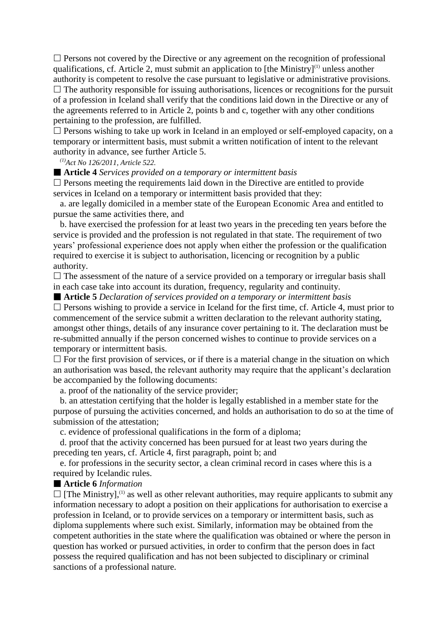$\Box$  Persons not covered by the Directive or any agreement on the recognition of professional qualifications, cf. Article 2, must submit an application to  $[the$  Ministry $]^{(1)}$  unless another authority is competent to resolve the case pursuant to legislative or administrative provisions.  $\Box$  The authority responsible for issuing authorisations, licences or recognitions for the pursuit of a profession in Iceland shall verify that the conditions laid down in the Directive or any of the agreements referred to in Article 2, points b and c, together with any other conditions pertaining to the profession, are fulfilled.

 $\Box$  Persons wishing to take up work in Iceland in an employed or self-employed capacity, on a temporary or intermittent basis, must submit a written notification of intent to the relevant authority in advance, see further Article 5.

*(1)Act No 126/2011, Article 522.*

**Article 4** *Services provided on a temporary or intermittent basis*

 $\Box$  Persons meeting the requirements laid down in the Directive are entitled to provide services in Iceland on a temporary or intermittent basis provided that they:

 a. are legally domiciled in a member state of the European Economic Area and entitled to pursue the same activities there, and

 b. have exercised the profession for at least two years in the preceding ten years before the service is provided and the profession is not regulated in that state. The requirement of two years" professional experience does not apply when either the profession or the qualification required to exercise it is subject to authorisation, licencing or recognition by a public authority.

 $\Box$  The assessment of the nature of a service provided on a temporary or irregular basis shall in each case take into account its duration, frequency, regularity and continuity.

**Article 5** *Declaration of services provided on a temporary or intermittent basis*

 $\Box$  Persons wishing to provide a service in Iceland for the first time, cf. Article 4, must prior to commencement of the service submit a written declaration to the relevant authority stating, amongst other things, details of any insurance cover pertaining to it. The declaration must be re-submitted annually if the person concerned wishes to continue to provide services on a temporary or intermittent basis.

 $\Box$  For the first provision of services, or if there is a material change in the situation on which an authorisation was based, the relevant authority may require that the applicant's declaration be accompanied by the following documents:

a. proof of the nationality of the service provider;

 b. an attestation certifying that the holder is legally established in a member state for the purpose of pursuing the activities concerned, and holds an authorisation to do so at the time of submission of the attestation;

c. evidence of professional qualifications in the form of a diploma;

 d. proof that the activity concerned has been pursued for at least two years during the preceding ten years, cf. Article 4, first paragraph, point b; and

 e. for professions in the security sector, a clean criminal record in cases where this is a required by Icelandic rules.

## **Article 6** *Information*

 $\Box$  [The Ministry],<sup>(1)</sup> as well as other relevant authorities, may require applicants to submit any information necessary to adopt a position on their applications for authorisation to exercise a profession in Iceland, or to provide services on a temporary or intermittent basis, such as diploma supplements where such exist. Similarly, information may be obtained from the competent authorities in the state where the qualification was obtained or where the person in question has worked or pursued activities, in order to confirm that the person does in fact possess the required qualification and has not been subjected to disciplinary or criminal sanctions of a professional nature.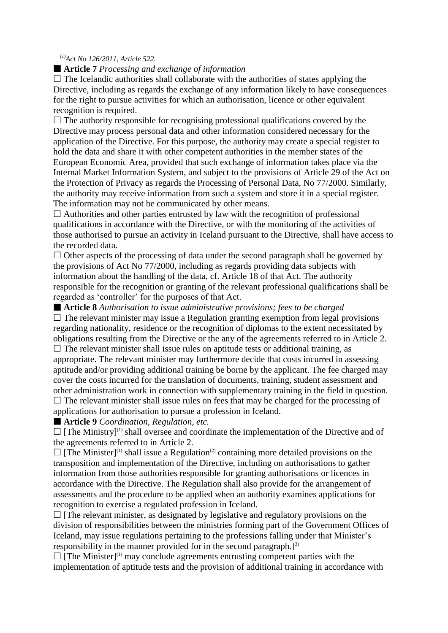## *(1)Act No 126/2011, Article 522.*

## **Article 7** *Processing and exchange of information*

 $\Box$  The Icelandic authorities shall collaborate with the authorities of states applying the Directive, including as regards the exchange of any information likely to have consequences for the right to pursue activities for which an authorisation, licence or other equivalent recognition is required.

 $\Box$  The authority responsible for recognising professional qualifications covered by the Directive may process personal data and other information considered necessary for the application of the Directive. For this purpose, the authority may create a special register to hold the data and share it with other competent authorities in the member states of the European Economic Area, provided that such exchange of information takes place via the Internal Market Information System, and subject to the provisions of Article 29 of the Act on the Protection of Privacy as regards the Processing of Personal Data, No 77/2000. Similarly, the authority may receive information from such a system and store it in a special register. The information may not be communicated by other means.

 $\Box$  Authorities and other parties entrusted by law with the recognition of professional qualifications in accordance with the Directive, or with the monitoring of the activities of those authorised to pursue an activity in Iceland pursuant to the Directive, shall have access to the recorded data.

 $\Box$  Other aspects of the processing of data under the second paragraph shall be governed by the provisions of Act No 77/2000, including as regards providing data subjects with information about the handling of the data, cf. Article 18 of that Act. The authority responsible for the recognition or granting of the relevant professional qualifications shall be regarded as 'controller' for the purposes of that Act.

 **Article 8** *Authorisation to issue administrative provisions; fees to be charged*  $\Box$  The relevant minister may issue a Regulation granting exemption from legal provisions regarding nationality, residence or the recognition of diplomas to the extent necessitated by obligations resulting from the Directive or the any of the agreements referred to in Article 2.  $\Box$  The relevant minister shall issue rules on aptitude tests or additional training, as appropriate. The relevant minister may furthermore decide that costs incurred in assessing aptitude and/or providing additional training be borne by the applicant. The fee charged may cover the costs incurred for the translation of documents, training, student assessment and other administration work in connection with supplementary training in the field in question.  $\Box$  The relevant minister shall issue rules on fees that may be charged for the processing of applications for authorisation to pursue a profession in Iceland.

**Article 9** *Coordination, Regulation, etc.*

 $\Box$  [The Ministry]<sup>(1)</sup> shall oversee and coordinate the implementation of the Directive and of the agreements referred to in Article 2.

 $\Box$  [The Minister]<sup>(1)</sup> shall issue a Regulation<sup>(2)</sup> containing more detailed provisions on the transposition and implementation of the Directive, including on authorisations to gather information from those authorities responsible for granting authorisations or licences in accordance with the Directive. The Regulation shall also provide for the arrangement of assessments and the procedure to be applied when an authority examines applications for recognition to exercise a regulated profession in Iceland.

 $\Box$  [The relevant minister, as designated by legislative and regulatory provisions on the division of responsibilities between the ministries forming part of the Government Offices of Iceland, may issue regulations pertaining to the professions falling under that Minister"s responsibility in the manner provided for in the second paragraph.] $^{3}$ 

 $\Box$  [The Minister]<sup>(1)</sup> may conclude agreements entrusting competent parties with the implementation of aptitude tests and the provision of additional training in accordance with